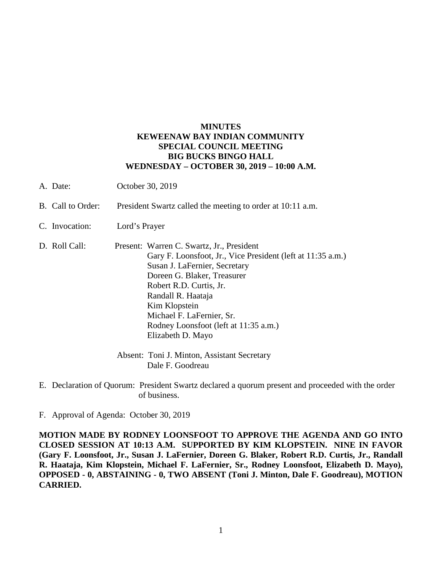## **MINUTES KEWEENAW BAY INDIAN COMMUNITY SPECIAL COUNCIL MEETING BIG BUCKS BINGO HALL WEDNESDAY – OCTOBER 30, 2019 – 10:00 A.M.**

- A. Date: October 30, 2019
- B. Call to Order: President Swartz called the meeting to order at 10:11 a.m.
- C. Invocation: Lord's Prayer
- D. Roll Call: Present: Warren C. Swartz, Jr., President Gary F. Loonsfoot, Jr., Vice President (left at 11:35 a.m.) Susan J. LaFernier, Secretary Doreen G. Blaker, Treasurer Robert R.D. Curtis, Jr. Randall R. Haataja Kim Klopstein Michael F. LaFernier, Sr. Rodney Loonsfoot (left at 11:35 a.m.) Elizabeth D. Mayo
	- Absent: Toni J. Minton, Assistant Secretary Dale F. Goodreau
- E. Declaration of Quorum: President Swartz declared a quorum present and proceeded with the order of business.
- F. Approval of Agenda: October 30, 2019

**MOTION MADE BY RODNEY LOONSFOOT TO APPROVE THE AGENDA AND GO INTO CLOSED SESSION AT 10:13 A.M. SUPPORTED BY KIM KLOPSTEIN. NINE IN FAVOR (Gary F. Loonsfoot, Jr., Susan J. LaFernier, Doreen G. Blaker, Robert R.D. Curtis, Jr., Randall R. Haataja, Kim Klopstein, Michael F. LaFernier, Sr., Rodney Loonsfoot, Elizabeth D. Mayo), OPPOSED - 0, ABSTAINING - 0, TWO ABSENT (Toni J. Minton, Dale F. Goodreau), MOTION CARRIED.**